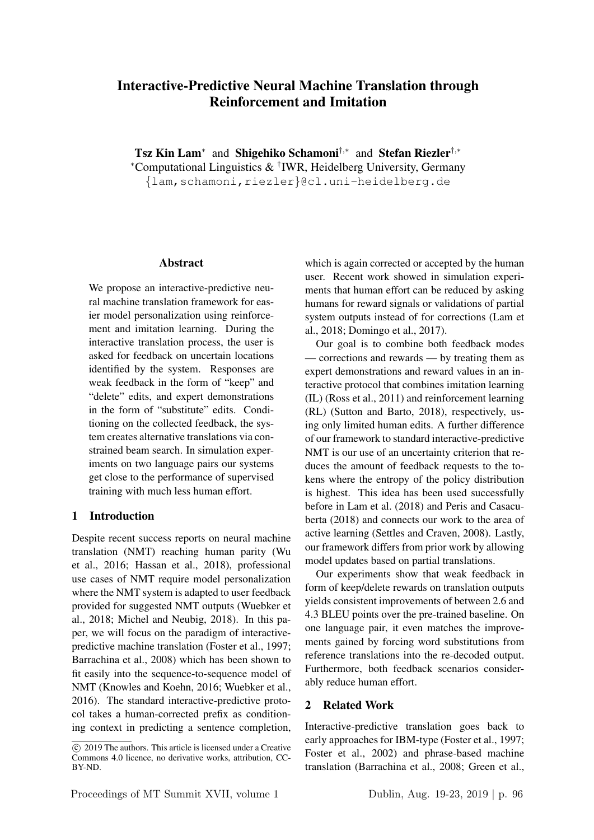# Interactive-Predictive Neural Machine Translation through Reinforcement and Imitation

Tsz Kin Lam<sup>∗</sup> and Shigehiko Schamoni<sup>†,∗</sup> and Stefan Riezler<sup>†,</sup>\* <sup>∗</sup>Computational Linguistics & † IWR, Heidelberg University, Germany {lam,schamoni,riezler}@cl.uni-heidelberg.de

#### Abstract

We propose an interactive-predictive neural machine translation framework for easier model personalization using reinforcement and imitation learning. During the interactive translation process, the user is asked for feedback on uncertain locations identified by the system. Responses are weak feedback in the form of "keep" and "delete" edits, and expert demonstrations in the form of "substitute" edits. Conditioning on the collected feedback, the system creates alternative translations via constrained beam search. In simulation experiments on two language pairs our systems get close to the performance of supervised training with much less human effort.

#### 1 Introduction

Despite recent success reports on neural machine translation (NMT) reaching human parity (Wu et al., 2016; Hassan et al., 2018), professional use cases of NMT require model personalization where the NMT system is adapted to user feedback provided for suggested NMT outputs (Wuebker et al., 2018; Michel and Neubig, 2018). In this paper, we will focus on the paradigm of interactivepredictive machine translation (Foster et al., 1997; Barrachina et al., 2008) which has been shown to fit easily into the sequence-to-sequence model of NMT (Knowles and Koehn, 2016; Wuebker et al., 2016). The standard interactive-predictive protocol takes a human-corrected prefix as conditioning context in predicting a sentence completion, which is again corrected or accepted by the human user. Recent work showed in simulation experiments that human effort can be reduced by asking humans for reward signals or validations of partial system outputs instead of for corrections (Lam et al., 2018; Domingo et al., 2017).

Our goal is to combine both feedback modes — corrections and rewards — by treating them as expert demonstrations and reward values in an interactive protocol that combines imitation learning (IL) (Ross et al., 2011) and reinforcement learning (RL) (Sutton and Barto, 2018), respectively, using only limited human edits. A further difference of our framework to standard interactive-predictive NMT is our use of an uncertainty criterion that reduces the amount of feedback requests to the tokens where the entropy of the policy distribution is highest. This idea has been used successfully before in Lam et al. (2018) and Peris and Casacuberta (2018) and connects our work to the area of active learning (Settles and Craven, 2008). Lastly, our framework differs from prior work by allowing model updates based on partial translations.

Our experiments show that weak feedback in form of keep/delete rewards on translation outputs yields consistent improvements of between 2.6 and 4.3 BLEU points over the pre-trained baseline. On one language pair, it even matches the improvements gained by forcing word substitutions from reference translations into the re-decoded output. Furthermore, both feedback scenarios considerably reduce human effort.

## 2 Related Work

Interactive-predictive translation goes back to early approaches for IBM-type (Foster et al., 1997; Foster et al., 2002) and phrase-based machine translation (Barrachina et al., 2008; Green et al.,

c 2019 The authors. This article is licensed under a Creative Commons 4.0 licence, no derivative works, attribution, CC-BY-ND.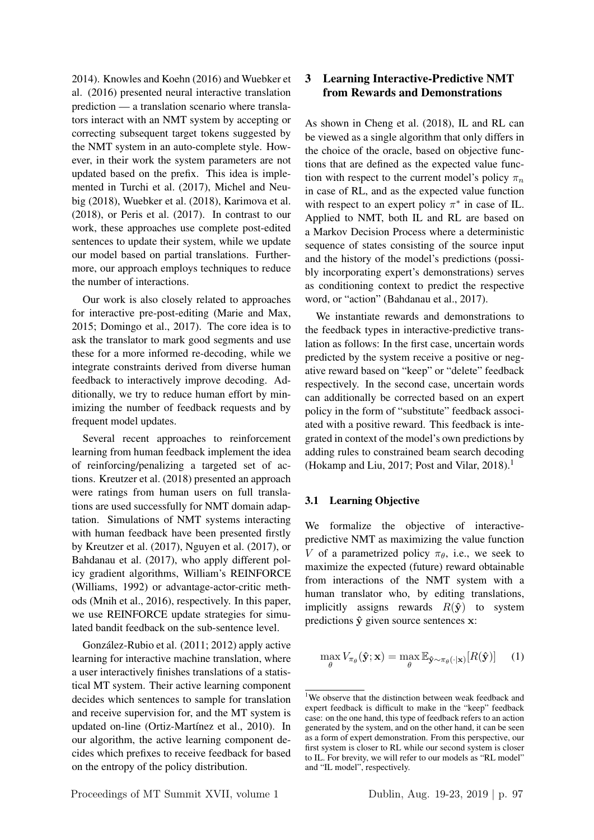2014). Knowles and Koehn (2016) and Wuebker et al. (2016) presented neural interactive translation prediction — a translation scenario where translators interact with an NMT system by accepting or correcting subsequent target tokens suggested by the NMT system in an auto-complete style. However, in their work the system parameters are not updated based on the prefix. This idea is implemented in Turchi et al. (2017), Michel and Neubig (2018), Wuebker et al. (2018), Karimova et al. (2018), or Peris et al. (2017). In contrast to our work, these approaches use complete post-edited sentences to update their system, while we update our model based on partial translations. Furthermore, our approach employs techniques to reduce the number of interactions.

Our work is also closely related to approaches for interactive pre-post-editing (Marie and Max, 2015; Domingo et al., 2017). The core idea is to ask the translator to mark good segments and use these for a more informed re-decoding, while we integrate constraints derived from diverse human feedback to interactively improve decoding. Additionally, we try to reduce human effort by minimizing the number of feedback requests and by frequent model updates.

Several recent approaches to reinforcement learning from human feedback implement the idea of reinforcing/penalizing a targeted set of actions. Kreutzer et al. (2018) presented an approach were ratings from human users on full translations are used successfully for NMT domain adaptation. Simulations of NMT systems interacting with human feedback have been presented firstly by Kreutzer et al. (2017), Nguyen et al. (2017), or Bahdanau et al. (2017), who apply different policy gradient algorithms, William's REINFORCE (Williams, 1992) or advantage-actor-critic methods (Mnih et al., 2016), respectively. In this paper, we use REINFORCE update strategies for simulated bandit feedback on the sub-sentence level.

Gonzalez-Rubio et al. (2011; 2012) apply active ´ learning for interactive machine translation, where a user interactively finishes translations of a statistical MT system. Their active learning component decides which sentences to sample for translation and receive supervision for, and the MT system is updated on-line (Ortiz-Martínez et al., 2010). In our algorithm, the active learning component decides which prefixes to receive feedback for based on the entropy of the policy distribution.

## 3 Learning Interactive-Predictive NMT from Rewards and Demonstrations

As shown in Cheng et al. (2018), IL and RL can be viewed as a single algorithm that only differs in the choice of the oracle, based on objective functions that are defined as the expected value function with respect to the current model's policy  $\pi_n$ in case of RL, and as the expected value function with respect to an expert policy  $\pi^*$  in case of IL. Applied to NMT, both IL and RL are based on a Markov Decision Process where a deterministic sequence of states consisting of the source input and the history of the model's predictions (possibly incorporating expert's demonstrations) serves as conditioning context to predict the respective word, or "action" (Bahdanau et al., 2017).

We instantiate rewards and demonstrations to the feedback types in interactive-predictive translation as follows: In the first case, uncertain words predicted by the system receive a positive or negative reward based on "keep" or "delete" feedback respectively. In the second case, uncertain words can additionally be corrected based on an expert policy in the form of "substitute" feedback associated with a positive reward. This feedback is integrated in context of the model's own predictions by adding rules to constrained beam search decoding (Hokamp and Liu, 2017; Post and Vilar, 2018).<sup>1</sup>

## 3.1 Learning Objective

We formalize the objective of interactivepredictive NMT as maximizing the value function V of a parametrized policy  $\pi_{\theta}$ , i.e., we seek to maximize the expected (future) reward obtainable from interactions of the NMT system with a human translator who, by editing translations, implicitly assigns rewards  $R(\hat{y})$  to system predictions  $\hat{y}$  given source sentences x:

$$
\max_{\theta} V_{\pi_{\theta}}(\hat{\mathbf{y}}; \mathbf{x}) = \max_{\theta} \mathbb{E}_{\hat{\mathbf{y}} \sim \pi_{\theta}(\cdot | \mathbf{x})}[R(\hat{\mathbf{y}})] \quad (1)
$$

<sup>&</sup>lt;sup>1</sup>We observe that the distinction between weak feedback and expert feedback is difficult to make in the "keep" feedback case: on the one hand, this type of feedback refers to an action generated by the system, and on the other hand, it can be seen as a form of expert demonstration. From this perspective, our first system is closer to RL while our second system is closer to IL. For brevity, we will refer to our models as "RL model" and "IL model", respectively.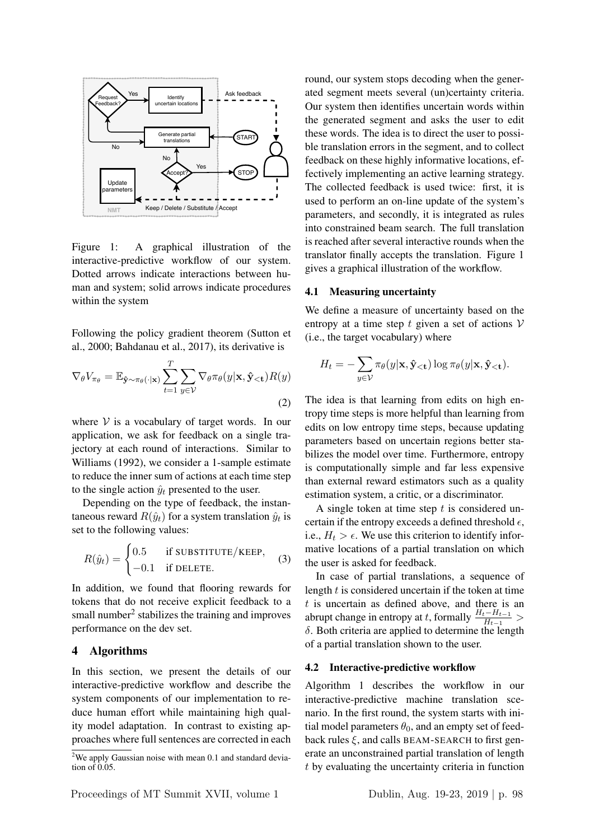

Figure 1: A graphical illustration of the interactive-predictive workflow of our system. Dotted arrows indicate interactions between human and system; solid arrows indicate procedures within the system

Following the policy gradient theorem (Sutton et al., 2000; Bahdanau et al., 2017), its derivative is

$$
\nabla_{\theta} V_{\pi_{\theta}} = \mathbb{E}_{\hat{\mathbf{y}} \sim \pi_{\theta}(\cdot | \mathbf{x})} \sum_{t=1}^{T} \sum_{y \in \mathcal{V}} \nabla_{\theta} \pi_{\theta}(y | \mathbf{x}, \hat{\mathbf{y}}_{< \mathbf{t}}) R(y)
$$
\n(2)

where  $V$  is a vocabulary of target words. In our application, we ask for feedback on a single trajectory at each round of interactions. Similar to Williams (1992), we consider a 1-sample estimate to reduce the inner sum of actions at each time step to the single action  $\hat{y}_t$  presented to the user.

Depending on the type of feedback, the instantaneous reward  $R(\hat{y}_t)$  for a system translation  $\hat{y}_t$  is set to the following values:

$$
R(\hat{y}_t) = \begin{cases} 0.5 & \text{if SUBSTITUTE/KEEP,} \\ -0.1 & \text{if DELETE.} \end{cases} \tag{3}
$$

In addition, we found that flooring rewards for tokens that do not receive explicit feedback to a small number $<sup>2</sup>$  stabilizes the training and improves</sup> performance on the dev set.

#### 4 Algorithms

In this section, we present the details of our interactive-predictive workflow and describe the system components of our implementation to reduce human effort while maintaining high quality model adaptation. In contrast to existing approaches where full sentences are corrected in each

round, our system stops decoding when the generated segment meets several (un)certainty criteria. Our system then identifies uncertain words within the generated segment and asks the user to edit these words. The idea is to direct the user to possible translation errors in the segment, and to collect feedback on these highly informative locations, effectively implementing an active learning strategy. The collected feedback is used twice: first, it is used to perform an on-line update of the system's parameters, and secondly, it is integrated as rules into constrained beam search. The full translation is reached after several interactive rounds when the translator finally accepts the translation. Figure 1 gives a graphical illustration of the workflow.

#### 4.1 Measuring uncertainty

We define a measure of uncertainty based on the entropy at a time step t given a set of actions  $V$ (i.e., the target vocabulary) where

$$
H_t = -\sum_{y \in \mathcal{V}} \pi_{\theta}(y|\mathbf{x}, \hat{\mathbf{y}}_{< \mathbf{t}}) \log \pi_{\theta}(y|\mathbf{x}, \hat{\mathbf{y}}_{< \mathbf{t}}).
$$

The idea is that learning from edits on high entropy time steps is more helpful than learning from edits on low entropy time steps, because updating parameters based on uncertain regions better stabilizes the model over time. Furthermore, entropy is computationally simple and far less expensive than external reward estimators such as a quality estimation system, a critic, or a discriminator.

A single token at time step  $t$  is considered uncertain if the entropy exceeds a defined threshold  $\epsilon$ , i.e.,  $H_t > \epsilon$ . We use this criterion to identify informative locations of a partial translation on which the user is asked for feedback.

In case of partial translations, a sequence of length  $t$  is considered uncertain if the token at time  $t$  is uncertain as defined above, and there is an abrupt change in entropy at t, formally  $\frac{H_t - H_{t-1}}{H_{t-1}} >$ δ. Both criteria are applied to determine the length of a partial translation shown to the user.

#### 4.2 Interactive-predictive workflow

Algorithm 1 describes the workflow in our interactive-predictive machine translation scenario. In the first round, the system starts with initial model parameters  $\theta_0$ , and an empty set of feedback rules  $\xi$ , and calls BEAM-SEARCH to first generate an unconstrained partial translation of length t by evaluating the uncertainty criteria in function

 $2$ We apply Gaussian noise with mean 0.1 and standard deviation of 0.05.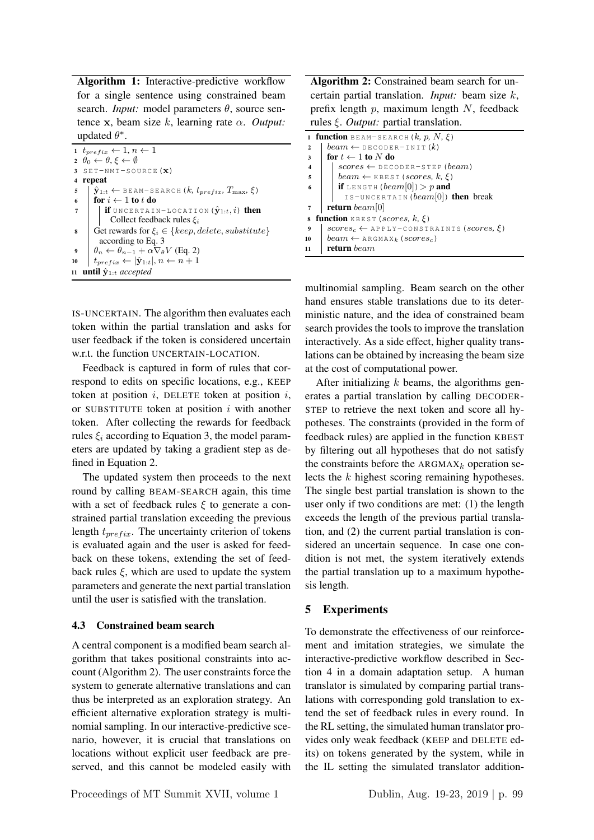Algorithm 1: Interactive-predictive workflow for a single sentence using constrained beam search. *Input*: model parameters  $\theta$ , source sentence x, beam size k, learning rate α. *Output:* updated  $\theta^*$ .

```
1 t_{prefix} \leftarrow 1, n \leftarrow 12 \theta_0 \leftarrow \theta, \xi \leftarrow \emptyset3 SET-NMT-SOURCE(X)4 repeat
 \begin{cases} \n\hat{\mathbf{y}}_{1:t} \leftarrow \texttt{BEARM-SEARCH}(k, t_{prefix}, T_{max}, \xi) \\ \n\textbf{for } i \leftarrow 1 \textbf{ to } t \textbf{ do} \n\end{cases}6 for i \leftarrow 1 to t do<br>7 if UNCERTALL
               if UNCERTAIN-LOCATION (\hat{\mathbf{y}}_{1:t}, i) then
                  Collect feedback rules \xi_i8 Get rewards for \xi_i \in \{keep, delete, substitute\}according to Eq. 3
9 \theta_n \leftarrow \theta_{n-1} + \alpha \nabla_{\theta} V (Eq. 2)
          t_{prefix} \leftarrow |\hat{\mathbf{y}}_{1:t}|, n \leftarrow n+111 until \hat{\mathbf{y}}_{1:t} accepted
```
IS-UNCERTAIN. The algorithm then evaluates each token within the partial translation and asks for user feedback if the token is considered uncertain w.r.t. the function UNCERTAIN-LOCATION.

Feedback is captured in form of rules that correspond to edits on specific locations, e.g., KEEP token at position  $i$ , DELETE token at position  $i$ , or SUBSTITUTE token at position  $i$  with another token. After collecting the rewards for feedback rules  $\xi_i$  according to Equation 3, the model parameters are updated by taking a gradient step as defined in Equation 2.

The updated system then proceeds to the next round by calling BEAM-SEARCH again, this time with a set of feedback rules  $\xi$  to generate a constrained partial translation exceeding the previous length  $t_{prefix}$ . The uncertainty criterion of tokens is evaluated again and the user is asked for feedback on these tokens, extending the set of feedback rules  $\xi$ , which are used to update the system parameters and generate the next partial translation until the user is satisfied with the translation.

#### 4.3 Constrained beam search

A central component is a modified beam search algorithm that takes positional constraints into account (Algorithm 2). The user constraints force the system to generate alternative translations and can thus be interpreted as an exploration strategy. An efficient alternative exploration strategy is multinomial sampling. In our interactive-predictive scenario, however, it is crucial that translations on locations without explicit user feedback are preserved, and this cannot be modeled easily with

Algorithm 2: Constrained beam search for uncertain partial translation. *Input:* beam size k, prefix length  $p$ , maximum length  $N$ , feedback rules ξ. *Output:* partial translation.

|                 | <b>1 function</b> BEAM-SEARCH $(k, p, N, \xi)$               |  |  |  |  |  |
|-----------------|--------------------------------------------------------------|--|--|--|--|--|
| $\mathbf{2}$    | $beam \leftarrow$ DECODER-INIT $(k)$                         |  |  |  |  |  |
| 3               | for $t \leftarrow 1$ to N do                                 |  |  |  |  |  |
| $\overline{4}$  | $scores \leftarrow$ DECODER-STEP (beam)                      |  |  |  |  |  |
| 5               | beam $\leftarrow$ KBEST (scores, k, $\xi$ )                  |  |  |  |  |  |
|                 | <b>if</b> LENGTH $(beam[0]) > p$ and                         |  |  |  |  |  |
|                 | IS-UNCERTAIN ( $beam[0]$ ) then break                        |  |  |  |  |  |
|                 | <b>return</b> beam[0]                                        |  |  |  |  |  |
| $\bf8$          | function KBEST (scores, $k$ , $\xi$ )                        |  |  |  |  |  |
| 9               | $scores_c \leftarrow$ APPLY-CONSTRAINTS (scores, $\xi$ )     |  |  |  |  |  |
| 10              | $beam \leftarrow$ ARGMAX <sub>k</sub> (scores <sub>c</sub> ) |  |  |  |  |  |
| $\overline{11}$ | return beam                                                  |  |  |  |  |  |

multinomial sampling. Beam search on the other hand ensures stable translations due to its deterministic nature, and the idea of constrained beam search provides the tools to improve the translation interactively. As a side effect, higher quality translations can be obtained by increasing the beam size at the cost of computational power.

After initializing  $k$  beams, the algorithms generates a partial translation by calling DECODER-STEP to retrieve the next token and score all hypotheses. The constraints (provided in the form of feedback rules) are applied in the function KBEST by filtering out all hypotheses that do not satisfy the constraints before the  $ARGMAX_k$  operation selects the k highest scoring remaining hypotheses. The single best partial translation is shown to the user only if two conditions are met: (1) the length exceeds the length of the previous partial translation, and (2) the current partial translation is considered an uncertain sequence. In case one condition is not met, the system iteratively extends the partial translation up to a maximum hypothesis length.

## 5 Experiments

To demonstrate the effectiveness of our reinforcement and imitation strategies, we simulate the interactive-predictive workflow described in Section 4 in a domain adaptation setup. A human translator is simulated by comparing partial translations with corresponding gold translation to extend the set of feedback rules in every round. In the RL setting, the simulated human translator provides only weak feedback (KEEP and DELETE edits) on tokens generated by the system, while in the IL setting the simulated translator addition-

Proceedings of MT Summit XVII, volume 1 Dublin, Aug. 19-23, 2019 | p. 99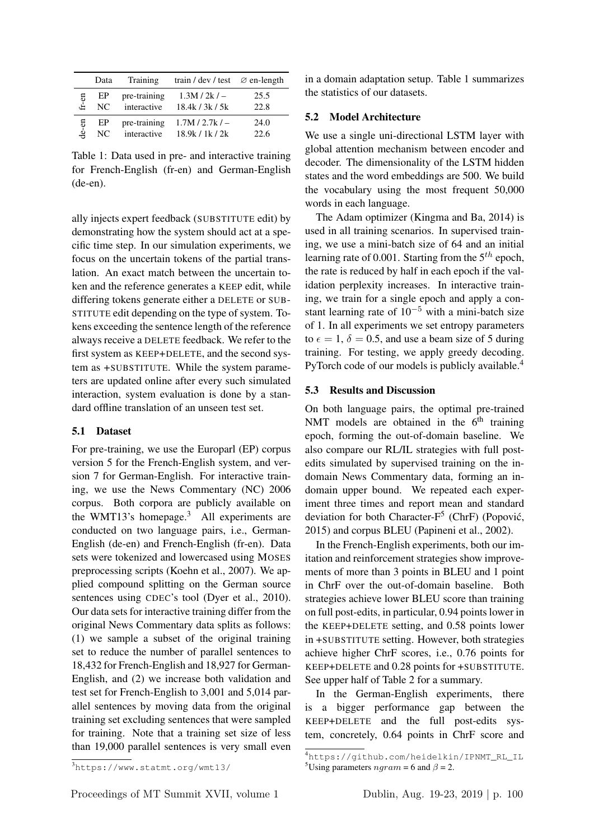|       | Data | Training     | train / dev / test $\varnothing$ en-length |      |
|-------|------|--------------|--------------------------------------------|------|
| fr-en | EP   | pre-training | $1.3M/2k/-$                                | 25.5 |
|       | NC.  | interactive  | 18.4k / 3k / 5k                            | 22.8 |
| de-en | EP   | pre-training | $1.7M / 2.7k$ / $-$                        | 24.0 |
|       | NC.  | interactive  | 18.9k / 1k / 2k                            | 22.6 |

Table 1: Data used in pre- and interactive training for French-English (fr-en) and German-English (de-en).

ally injects expert feedback (SUBSTITUTE edit) by demonstrating how the system should act at a specific time step. In our simulation experiments, we focus on the uncertain tokens of the partial translation. An exact match between the uncertain token and the reference generates a KEEP edit, while differing tokens generate either a DELETE or SUB-STITUTE edit depending on the type of system. Tokens exceeding the sentence length of the reference always receive a DELETE feedback. We refer to the first system as KEEP+DELETE, and the second system as +SUBSTITUTE. While the system parameters are updated online after every such simulated interaction, system evaluation is done by a standard offline translation of an unseen test set.

## 5.1 Dataset

For pre-training, we use the Europarl (EP) corpus version 5 for the French-English system, and version 7 for German-English. For interactive training, we use the News Commentary (NC) 2006 corpus. Both corpora are publicly available on the WMT13's homepage.<sup>3</sup> All experiments are conducted on two language pairs, i.e., German-English (de-en) and French-English (fr-en). Data sets were tokenized and lowercased using MOSES preprocessing scripts (Koehn et al., 2007). We applied compound splitting on the German source sentences using CDEC's tool (Dyer et al., 2010). Our data sets for interactive training differ from the original News Commentary data splits as follows: (1) we sample a subset of the original training set to reduce the number of parallel sentences to 18,432 for French-English and 18,927 for German-English, and (2) we increase both validation and test set for French-English to 3,001 and 5,014 parallel sentences by moving data from the original training set excluding sentences that were sampled for training. Note that a training set size of less than 19,000 parallel sentences is very small even

in a domain adaptation setup. Table 1 summarizes the statistics of our datasets.

#### 5.2 Model Architecture

We use a single uni-directional LSTM layer with global attention mechanism between encoder and decoder. The dimensionality of the LSTM hidden states and the word embeddings are 500. We build the vocabulary using the most frequent 50,000 words in each language.

The Adam optimizer (Kingma and Ba, 2014) is used in all training scenarios. In supervised training, we use a mini-batch size of 64 and an initial learning rate of 0.001. Starting from the  $5<sup>th</sup>$  epoch, the rate is reduced by half in each epoch if the validation perplexity increases. In interactive training, we train for a single epoch and apply a constant learning rate of  $10^{-5}$  with a mini-batch size of 1. In all experiments we set entropy parameters to  $\epsilon = 1$ ,  $\delta = 0.5$ , and use a beam size of 5 during training. For testing, we apply greedy decoding. PyTorch code of our models is publicly available.<sup>4</sup>

### 5.3 Results and Discussion

On both language pairs, the optimal pre-trained NMT models are obtained in the  $6<sup>th</sup>$  training epoch, forming the out-of-domain baseline. We also compare our RL/IL strategies with full postedits simulated by supervised training on the indomain News Commentary data, forming an indomain upper bound. We repeated each experiment three times and report mean and standard deviation for both Character-F<sup>5</sup> (ChrF) (Popović, 2015) and corpus BLEU (Papineni et al., 2002).

In the French-English experiments, both our imitation and reinforcement strategies show improvements of more than 3 points in BLEU and 1 point in ChrF over the out-of-domain baseline. Both strategies achieve lower BLEU score than training on full post-edits, in particular, 0.94 points lower in the KEEP+DELETE setting, and 0.58 points lower in +SUBSTITUTE setting. However, both strategies achieve higher ChrF scores, i.e., 0.76 points for KEEP+DELETE and 0.28 points for +SUBSTITUTE. See upper half of Table 2 for a summary.

In the German-English experiments, there is a bigger performance gap between the KEEP+DELETE and the full post-edits system, concretely, 0.64 points in ChrF score and

<sup>3</sup>https://www.statmt.org/wmt13/

<sup>4</sup>https://github.com/heidelkin/IPNMT\_RL\_IL <sup>5</sup>Using parameters  $ngram = 6$  and  $\beta = 2$ .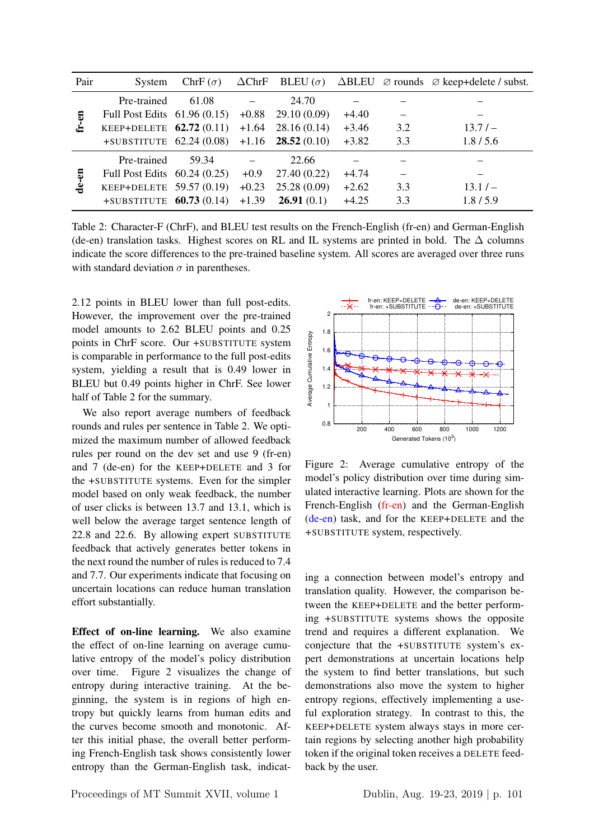| Pair         | System                        | ChrF $(\sigma)$ |         |                             |         |     | $\Delta$ ChrF BLEU ( $\sigma$ ) $\Delta$ BLEU $\varnothing$ rounds $\varnothing$ keep+delete / subst. |
|--------------|-------------------------------|-----------------|---------|-----------------------------|---------|-----|-------------------------------------------------------------------------------------------------------|
| ទ<br>ظ<br>تا | Pre-trained                   | 61.08           |         | 24.70                       |         |     |                                                                                                       |
|              | Full Post Edits $61.96(0.15)$ |                 | $+0.88$ | 29.10(0.09)                 | $+4.40$ |     |                                                                                                       |
|              | KEEP+DELETE $62.72(0.11)$     |                 | $+1.64$ | 28.16(0.14)                 | $+3.46$ | 3.2 | 13.7/                                                                                                 |
|              | $+$ SUBSTITUTE 62.24 (0.08)   |                 |         | $+1.16$ <b>28.52</b> (0.10) | $+3.82$ | 3.3 | 1.8/5.6                                                                                               |
| 5<br>ė       | Pre-trained                   | 59.34           |         | 22.66                       |         |     |                                                                                                       |
|              | Full Post Edits $60.24(0.25)$ |                 | $+0.9$  | 27.40(0.22)                 | $+4.74$ |     |                                                                                                       |
|              | KEEP+DELETE $59.57(0.19)$     |                 | $+0.23$ | 25.28(0.09)                 | $+2.62$ | 3.3 | $13.1/-$                                                                                              |
|              | $+$ SUBSTITUTE 60.73 (0.14)   |                 | $+1.39$ | 26.91(0.1)                  | $+4.25$ | 3.3 | 1.8/5.9                                                                                               |

Table 2: Character-F (ChrF), and BLEU test results on the French-English (fr-en) and German-English (de-en) translation tasks. Highest scores on RL and IL systems are printed in bold. The  $\Delta$  columns indicate the score differences to the pre-trained baseline system. All scores are averaged over three runs with standard deviation  $\sigma$  in parentheses.

2.12 points in BLEU lower than full post-edits. However, the improvement over the pre-trained model amounts to 2.62 BLEU points and 0.25 points in ChrF score. Our +SUBSTITUTE system is comparable in performance to the full post-edits system, yielding a result that is 0.49 lower in BLEU but 0.49 points higher in ChrF. See lower half of Table 2 for the summary.

We also report average numbers of feedback rounds and rules per sentence in Table 2. We optimized the maximum number of allowed feedback rules per round on the dev set and use 9 (fr-en) and 7 (de-en) for the KEEP+DELETE and 3 for the +SUBSTITUTE systems. Even for the simpler model based on only weak feedback, the number of user clicks is between 13.7 and 13.1, which is well below the average target sentence length of 22.8 and 22.6. By allowing expert SUBSTITUTE feedback that actively generates better tokens in the next round the number of rules is reduced to 7.4 and 7.7. Our experiments indicate that focusing on uncertain locations can reduce human translation effort substantially.

Effect of on-line learning. We also examine the effect of on-line learning on average cumulative entropy of the model's policy distribution over time. Figure 2 visualizes the change of entropy during interactive training. At the beginning, the system is in regions of high entropy but quickly learns from human edits and the curves become smooth and monotonic. After this initial phase, the overall better performing French-English task shows consistently lower entropy than the German-English task, indicat-



Figure 2: Average cumulative entropy of the model's policy distribution over time during simulated interactive learning. Plots are shown for the French-English (fr-en) and the German-English (de-en) task, and for the KEEP+DELETE and the +SUBSTITUTE system, respectively.

ing a connection between model's entropy and translation quality. However, the comparison between the KEEP+DELETE and the better performing +SUBSTITUTE systems shows the opposite trend and requires a different explanation. We conjecture that the +SUBSTITUTE system's expert demonstrations at uncertain locations help the system to find better translations, but such demonstrations also move the system to higher entropy regions, effectively implementing a useful exploration strategy. In contrast to this, the KEEP+DELETE system always stays in more certain regions by selecting another high probability token if the original token receives a DELETE feedback by the user.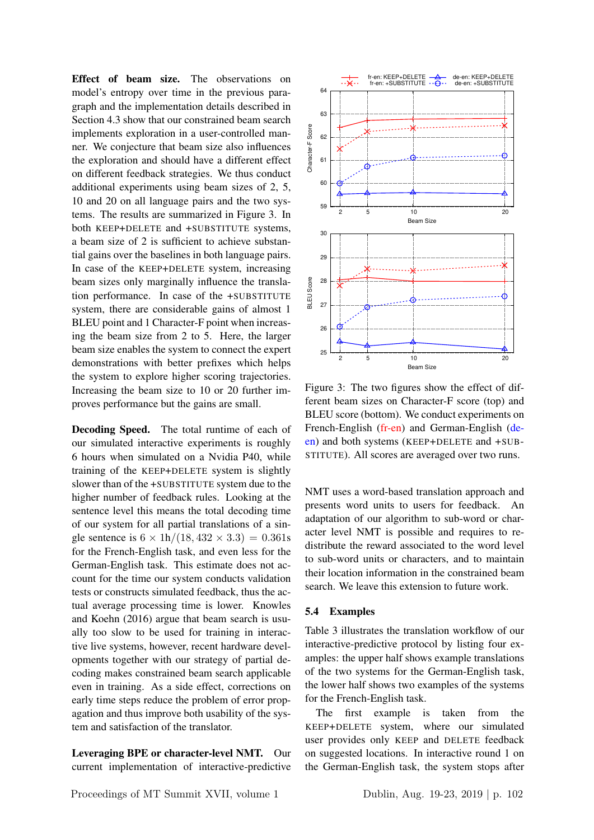Effect of beam size. The observations on model's entropy over time in the previous paragraph and the implementation details described in Section 4.3 show that our constrained beam search implements exploration in a user-controlled manner. We conjecture that beam size also influences the exploration and should have a different effect on different feedback strategies. We thus conduct additional experiments using beam sizes of 2, 5, 10 and 20 on all language pairs and the two systems. The results are summarized in Figure 3. In both KEEP+DELETE and +SUBSTITUTE systems, a beam size of 2 is sufficient to achieve substantial gains over the baselines in both language pairs. In case of the KEEP+DELETE system, increasing beam sizes only marginally influence the translation performance. In case of the +SUBSTITUTE system, there are considerable gains of almost 1 BLEU point and 1 Character-F point when increasing the beam size from 2 to 5. Here, the larger beam size enables the system to connect the expert demonstrations with better prefixes which helps the system to explore higher scoring trajectories. Increasing the beam size to 10 or 20 further improves performance but the gains are small.

Decoding Speed. The total runtime of each of our simulated interactive experiments is roughly 6 hours when simulated on a Nvidia P40, while training of the KEEP+DELETE system is slightly slower than of the +SUBSTITUTE system due to the higher number of feedback rules. Looking at the sentence level this means the total decoding time of our system for all partial translations of a single sentence is  $6 \times 1h/(18, 432 \times 3.3) = 0.361s$ for the French-English task, and even less for the German-English task. This estimate does not account for the time our system conducts validation tests or constructs simulated feedback, thus the actual average processing time is lower. Knowles and Koehn (2016) argue that beam search is usually too slow to be used for training in interactive live systems, however, recent hardware developments together with our strategy of partial decoding makes constrained beam search applicable even in training. As a side effect, corrections on early time steps reduce the problem of error propagation and thus improve both usability of the system and satisfaction of the translator.

Leveraging BPE or character-level NMT. Our current implementation of interactive-predictive



Figure 3: The two figures show the effect of different beam sizes on Character-F score (top) and BLEU score (bottom). We conduct experiments on French-English (fr-en) and German-English (deen) and both systems (KEEP+DELETE and +SUB-STITUTE). All scores are averaged over two runs.

NMT uses a word-based translation approach and presents word units to users for feedback. An adaptation of our algorithm to sub-word or character level NMT is possible and requires to redistribute the reward associated to the word level to sub-word units or characters, and to maintain their location information in the constrained beam search. We leave this extension to future work.

#### 5.4 Examples

Table 3 illustrates the translation workflow of our interactive-predictive protocol by listing four examples: the upper half shows example translations of the two systems for the German-English task, the lower half shows two examples of the systems for the French-English task.

The first example is taken from the KEEP+DELETE system, where our simulated user provides only KEEP and DELETE feedback on suggested locations. In interactive round 1 on the German-English task, the system stops after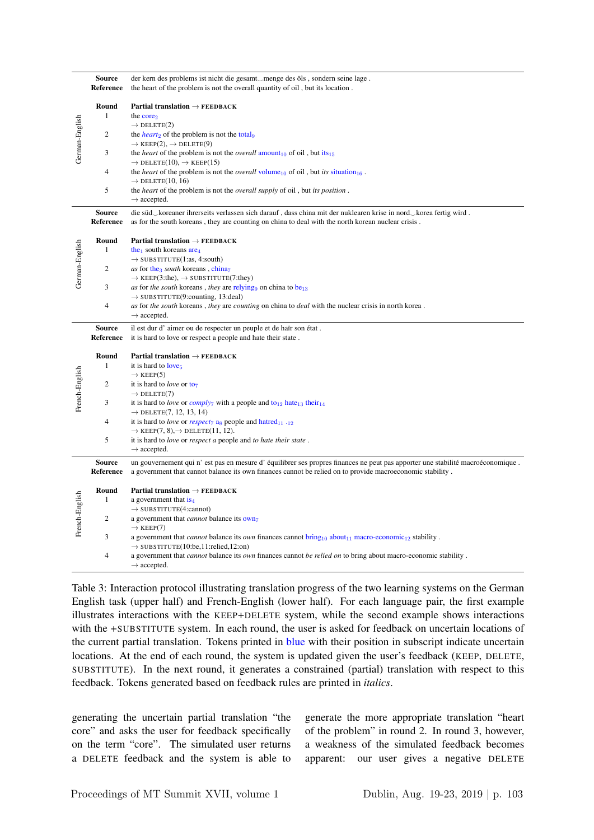|                | <b>Source</b><br>Reference | der kern des problems ist nicht die gesamt_menge des öls, sondern seine lage.<br>the heart of the problem is not the overall quantity of oil, but its location.                                                                            |
|----------------|----------------------------|--------------------------------------------------------------------------------------------------------------------------------------------------------------------------------------------------------------------------------------------|
| German-English | Round<br>$\mathbf{1}$      | Partial translation $\rightarrow$ FEEDBACK<br>the core <sub>2</sub>                                                                                                                                                                        |
|                | $\overline{2}$             | $\rightarrow$ DELETE(2)<br>the <i>heart</i> <sub>2</sub> of the problem is not the total <sub>9</sub><br>$\rightarrow$ KEEP(2), $\rightarrow$ DELETE(9)                                                                                    |
|                | 3                          | the <i>heart</i> of the problem is not the <i>overall</i> amount <sub>10</sub> of oil, but its <sub>15</sub><br>$\rightarrow$ DELETE(10), $\rightarrow$ KEEP(15)                                                                           |
|                | $\overline{4}$             | the <i>heart</i> of the problem is not the <i>overall</i> volume <sub>10</sub> of oil, but <i>its</i> situation <sub>16</sub> .<br>$\rightarrow$ DELETE(10, 16)                                                                            |
|                | 5                          | the <i>heart</i> of the problem is not the <i>overall supply</i> of oil, but its <i>position</i> .<br>$\rightarrow$ accepted.                                                                                                              |
|                | <b>Source</b><br>Reference | die süd_koreaner ihrerseits verlassen sich darauf, dass china mit der nuklearen krise in nord_korea fertig wird.<br>as for the south koreans, they are counting on china to deal with the north korean nuclear crisis.                     |
| German-English | Round<br>$\mathbf{1}$      | Partial translation $\rightarrow$ FEEDBACK<br>the <sub>1</sub> south koreans $\text{area}_4$                                                                                                                                               |
|                | $\overline{2}$             | $\rightarrow$ SUBSTITUTE(1:as, 4:south)<br>as for the <sub>3</sub> south koreans, chinaz<br>$\rightarrow$ KEEP(3:the), $\rightarrow$ SUBSTITUTE(7:they)                                                                                    |
|                | 3                          | as for the south koreans, they are relying on china to be <sub>13</sub><br>$\rightarrow$ SUBSTITUTE(9:counting, 13:deal)                                                                                                                   |
|                | $\overline{4}$             | as for the south koreans, they are counting on china to deal with the nuclear crisis in north korea.<br>$\rightarrow$ accepted.                                                                                                            |
|                | <b>Source</b><br>Reference | il est dur d'aimer ou de respecter un peuple et de haïr son état.<br>it is hard to love or respect a people and hate their state.                                                                                                          |
|                | Round<br>$\mathbf{1}$      | Partial translation $\rightarrow$ FEEDBACK<br>it is hard to love <sub>5</sub>                                                                                                                                                              |
|                | $\overline{2}$             | $\rightarrow$ KEEP(5)<br>it is hard to <i>love</i> or $to_7$                                                                                                                                                                               |
| French-English | 3                          | $\rightarrow$ DELETE(7)<br>it is hard to love or comply <sub>7</sub> with a people and to <sub>12</sub> hate <sub>13</sub> their <sub>14</sub>                                                                                             |
|                | $\overline{4}$             | $\rightarrow$ DELETE(7, 12, 13, 14)<br>it is hard to love or respect <sub>7</sub> a <sub>8</sub> people and hatred <sub>11</sub> .12<br>$\rightarrow$ KEEP(7, 8), $\rightarrow$ DELETE(11, 12).                                            |
|                | 5                          | it is hard to love or respect a people and to hate their state.<br>$\rightarrow$ accepted.                                                                                                                                                 |
|                | <b>Source</b><br>Reference | un gouvernement qui n'est pas en mesure d'équilibrer ses propres finances ne peut pas apporter une stabilité macroéconomique.<br>a government that cannot balance its own finances cannot be relied on to provide macroeconomic stability. |
| French-English | Round<br>1                 | Partial translation $\rightarrow$ FEEDBACK                                                                                                                                                                                                 |
|                |                            | a government that $is_4$<br>$\rightarrow$ SUBSTITUTE(4:cannot)                                                                                                                                                                             |
|                | 2                          | a government that <i>cannot</i> balance its own <sub>7</sub><br>$\rightarrow$ KEEP(7)                                                                                                                                                      |
|                | 3                          | a government that <i>cannot</i> balance its <i>own</i> finances cannot $\text{bring}_{10}$ about <sub>11</sub> macro-economic <sub>12</sub> stability.<br>$\rightarrow$ SUBSTITUTE(10:be,11:relied,12:on)                                  |
|                | $\overline{4}$             | a government that <i>cannot</i> balance its <i>own</i> finances cannot be relied on to bring about macro-economic stability.<br>$\rightarrow$ accepted.                                                                                    |

Table 3: Interaction protocol illustrating translation progress of the two learning systems on the German English task (upper half) and French-English (lower half). For each language pair, the first example illustrates interactions with the KEEP+DELETE system, while the second example shows interactions with the +SUBSTITUTE system. In each round, the user is asked for feedback on uncertain locations of the current partial translation. Tokens printed in blue with their position in subscript indicate uncertain locations. At the end of each round, the system is updated given the user's feedback (KEEP, DELETE, SUBSTITUTE). In the next round, it generates a constrained (partial) translation with respect to this feedback. Tokens generated based on feedback rules are printed in *italics*.

generating the uncertain partial translation "the core" and asks the user for feedback specifically on the term "core". The simulated user returns a DELETE feedback and the system is able to generate the more appropriate translation "heart of the problem" in round 2. In round 3, however, a weakness of the simulated feedback becomes apparent: our user gives a negative DELETE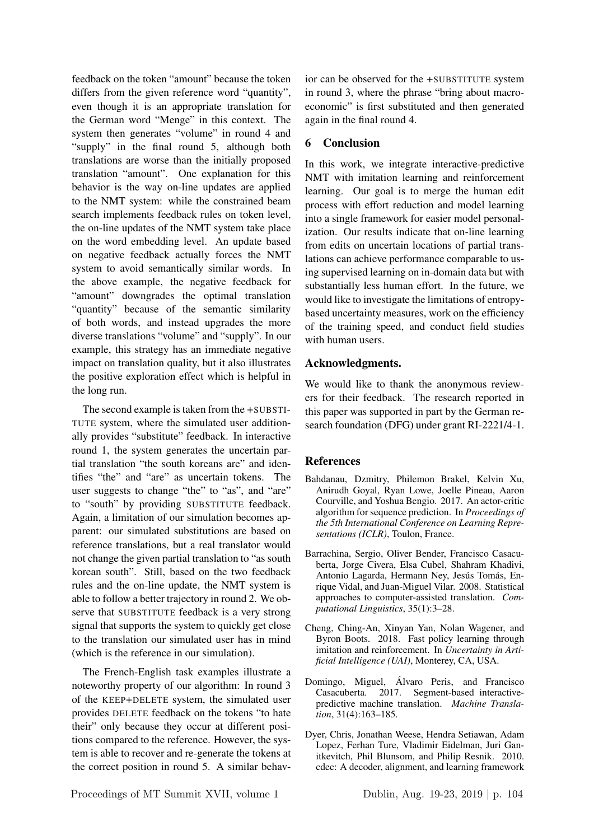feedback on the token "amount" because the token differs from the given reference word "quantity", even though it is an appropriate translation for the German word "Menge" in this context. The system then generates "volume" in round 4 and "supply" in the final round 5, although both translations are worse than the initially proposed translation "amount". One explanation for this behavior is the way on-line updates are applied to the NMT system: while the constrained beam search implements feedback rules on token level, the on-line updates of the NMT system take place on the word embedding level. An update based on negative feedback actually forces the NMT system to avoid semantically similar words. In the above example, the negative feedback for "amount" downgrades the optimal translation "quantity" because of the semantic similarity of both words, and instead upgrades the more diverse translations "volume" and "supply". In our example, this strategy has an immediate negative impact on translation quality, but it also illustrates the positive exploration effect which is helpful in the long run.

The second example is taken from the +SUBSTI-TUTE system, where the simulated user additionally provides "substitute" feedback. In interactive round 1, the system generates the uncertain partial translation "the south koreans are" and identifies "the" and "are" as uncertain tokens. The user suggests to change "the" to "as", and "are" to "south" by providing SUBSTITUTE feedback. Again, a limitation of our simulation becomes apparent: our simulated substitutions are based on reference translations, but a real translator would not change the given partial translation to "as south korean south". Still, based on the two feedback rules and the on-line update, the NMT system is able to follow a better trajectory in round 2. We observe that SUBSTITUTE feedback is a very strong signal that supports the system to quickly get close to the translation our simulated user has in mind (which is the reference in our simulation).

The French-English task examples illustrate a noteworthy property of our algorithm: In round 3 of the KEEP+DELETE system, the simulated user provides DELETE feedback on the tokens "to hate their" only because they occur at different positions compared to the reference. However, the system is able to recover and re-generate the tokens at the correct position in round 5. A similar behavior can be observed for the +SUBSTITUTE system in round 3, where the phrase "bring about macroeconomic" is first substituted and then generated again in the final round 4.

## 6 Conclusion

In this work, we integrate interactive-predictive NMT with imitation learning and reinforcement learning. Our goal is to merge the human edit process with effort reduction and model learning into a single framework for easier model personalization. Our results indicate that on-line learning from edits on uncertain locations of partial translations can achieve performance comparable to using supervised learning on in-domain data but with substantially less human effort. In the future, we would like to investigate the limitations of entropybased uncertainty measures, work on the efficiency of the training speed, and conduct field studies with human users.

## Acknowledgments.

We would like to thank the anonymous reviewers for their feedback. The research reported in this paper was supported in part by the German research foundation (DFG) under grant RI-2221/4-1.

## References

- Bahdanau, Dzmitry, Philemon Brakel, Kelvin Xu, Anirudh Goyal, Ryan Lowe, Joelle Pineau, Aaron Courville, and Yoshua Bengio. 2017. An actor-critic algorithm for sequence prediction. In *Proceedings of the 5th International Conference on Learning Representations (ICLR)*, Toulon, France.
- Barrachina, Sergio, Oliver Bender, Francisco Casacuberta, Jorge Civera, Elsa Cubel, Shahram Khadivi, Antonio Lagarda, Hermann Ney, Jesús Tomás, Enrique Vidal, and Juan-Miguel Vilar. 2008. Statistical approaches to computer-assisted translation. *Computational Linguistics*, 35(1):3–28.
- Cheng, Ching-An, Xinyan Yan, Nolan Wagener, and Byron Boots. 2018. Fast policy learning through imitation and reinforcement. In *Uncertainty in Artificial Intelligence (UAI)*, Monterey, CA, USA.
- Domingo, Miguel, Alvaro Peris, and Francisco ´ Casacuberta. 2017. Segment-based interactivepredictive machine translation. *Machine Translation*, 31(4):163–185.
- Dyer, Chris, Jonathan Weese, Hendra Setiawan, Adam Lopez, Ferhan Ture, Vladimir Eidelman, Juri Ganitkevitch, Phil Blunsom, and Philip Resnik. 2010. cdec: A decoder, alignment, and learning framework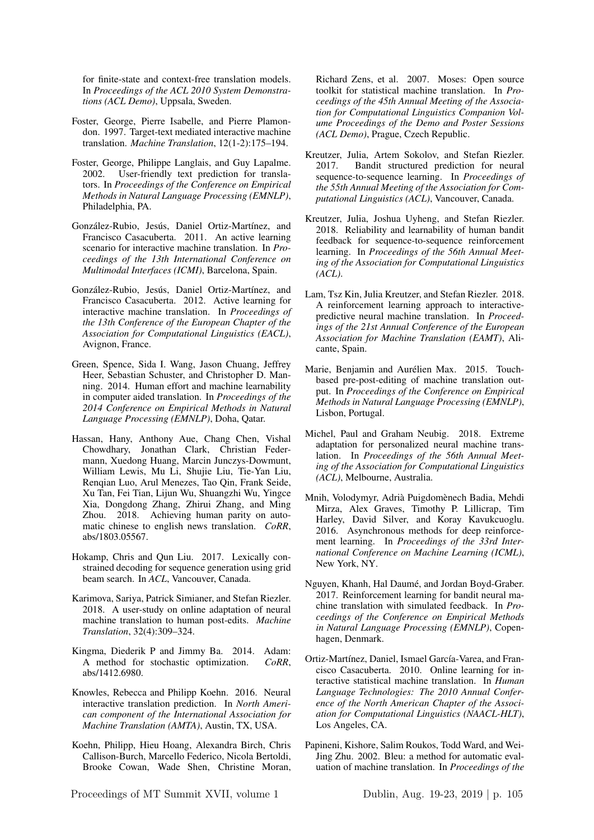for finite-state and context-free translation models. In *Proceedings of the ACL 2010 System Demonstrations (ACL Demo)*, Uppsala, Sweden.

- Foster, George, Pierre Isabelle, and Pierre Plamondon. 1997. Target-text mediated interactive machine translation. *Machine Translation*, 12(1-2):175–194.
- Foster, George, Philippe Langlais, and Guy Lapalme. 2002. User-friendly text prediction for translators. In *Proceedings of the Conference on Empirical Methods in Natural Language Processing (EMNLP)*, Philadelphia, PA.
- González-Rubio, Jesús, Daniel Ortiz-Martínez, and Francisco Casacuberta. 2011. An active learning scenario for interactive machine translation. In *Proceedings of the 13th International Conference on Multimodal Interfaces (ICMI)*, Barcelona, Spain.
- González-Rubio, Jesús, Daniel Ortiz-Martínez, and Francisco Casacuberta. 2012. Active learning for interactive machine translation. In *Proceedings of the 13th Conference of the European Chapter of the Association for Computational Linguistics (EACL)*, Avignon, France.
- Green, Spence, Sida I. Wang, Jason Chuang, Jeffrey Heer, Sebastian Schuster, and Christopher D. Manning. 2014. Human effort and machine learnability in computer aided translation. In *Proceedings of the 2014 Conference on Empirical Methods in Natural Language Processing (EMNLP)*, Doha, Qatar.
- Hassan, Hany, Anthony Aue, Chang Chen, Vishal Chowdhary, Jonathan Clark, Christian Federmann, Xuedong Huang, Marcin Junczys-Dowmunt, William Lewis, Mu Li, Shujie Liu, Tie-Yan Liu, Renqian Luo, Arul Menezes, Tao Qin, Frank Seide, Xu Tan, Fei Tian, Lijun Wu, Shuangzhi Wu, Yingce Xia, Dongdong Zhang, Zhirui Zhang, and Ming Zhou. 2018. Achieving human parity on automatic chinese to english news translation. *CoRR*, abs/1803.05567.
- Hokamp, Chris and Qun Liu. 2017. Lexically constrained decoding for sequence generation using grid beam search. In *ACL*, Vancouver, Canada.
- Karimova, Sariya, Patrick Simianer, and Stefan Riezler. 2018. A user-study on online adaptation of neural machine translation to human post-edits. *Machine Translation*, 32(4):309–324.
- Kingma, Diederik P and Jimmy Ba. 2014. Adam: A method for stochastic optimization. *CoRR*, abs/1412.6980.
- Knowles, Rebecca and Philipp Koehn. 2016. Neural interactive translation prediction. In *North American component of the International Association for Machine Translation (AMTA)*, Austin, TX, USA.
- Koehn, Philipp, Hieu Hoang, Alexandra Birch, Chris Callison-Burch, Marcello Federico, Nicola Bertoldi, Brooke Cowan, Wade Shen, Christine Moran,

Proceedings of MT Summit XVII, volume 1 Dublin, Aug. 19-23, 2019 | p. 105

Richard Zens, et al. 2007. Moses: Open source toolkit for statistical machine translation. In *Proceedings of the 45th Annual Meeting of the Association for Computational Linguistics Companion Volume Proceedings of the Demo and Poster Sessions (ACL Demo)*, Prague, Czech Republic.

- Kreutzer, Julia, Artem Sokolov, and Stefan Riezler. 2017. Bandit structured prediction for neural sequence-to-sequence learning. In *Proceedings of the 55th Annual Meeting of the Association for Computational Linguistics (ACL)*, Vancouver, Canada.
- Kreutzer, Julia, Joshua Uyheng, and Stefan Riezler. 2018. Reliability and learnability of human bandit feedback for sequence-to-sequence reinforcement learning. In *Proceedings of the 56th Annual Meeting of the Association for Computational Linguistics (ACL)*.
- Lam, Tsz Kin, Julia Kreutzer, and Stefan Riezler. 2018. A reinforcement learning approach to interactivepredictive neural machine translation. In *Proceedings of the 21st Annual Conference of the European Association for Machine Translation (EAMT)*, Alicante, Spain.
- Marie, Benjamin and Aurélien Max. 2015. Touchbased pre-post-editing of machine translation output. In *Proceedings of the Conference on Empirical Methods in Natural Language Processing (EMNLP)*, Lisbon, Portugal.
- Michel, Paul and Graham Neubig. 2018. Extreme adaptation for personalized neural machine translation. In *Proceedings of the 56th Annual Meeting of the Association for Computational Linguistics (ACL)*, Melbourne, Australia.
- Mnih, Volodymyr, Adrià Puigdomènech Badia, Mehdi Mirza, Alex Graves, Timothy P. Lillicrap, Tim Harley, David Silver, and Koray Kavukcuoglu. 2016. Asynchronous methods for deep reinforcement learning. In *Proceedings of the 33rd International Conference on Machine Learning (ICML)*, New York, NY.
- Nguyen, Khanh, Hal Daumé, and Jordan Boyd-Graber. 2017. Reinforcement learning for bandit neural machine translation with simulated feedback. In *Proceedings of the Conference on Empirical Methods in Natural Language Processing (EMNLP)*, Copenhagen, Denmark.
- Ortiz-Martínez, Daniel, Ismael García-Varea, and Francisco Casacuberta. 2010. Online learning for interactive statistical machine translation. In *Human Language Technologies: The 2010 Annual Conference of the North American Chapter of the Association for Computational Linguistics (NAACL-HLT)*, Los Angeles, CA.
- Papineni, Kishore, Salim Roukos, Todd Ward, and Wei-Jing Zhu. 2002. Bleu: a method for automatic evaluation of machine translation. In *Proceedings of the*